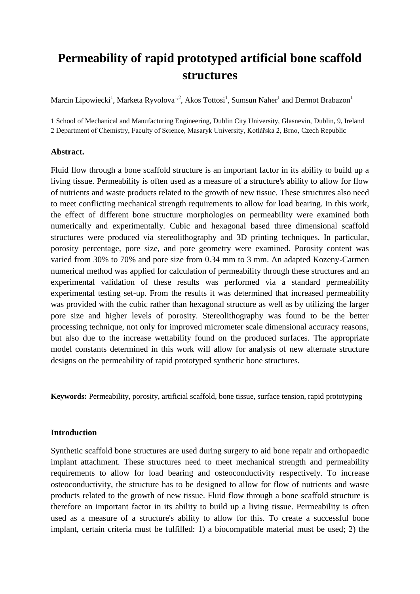# **Permeability of rapid prototyped artificial bone scaffold structures**

Marcin Lipowiecki<sup>1</sup>, Marketa Ryvolova<sup>1,2</sup>, Akos Tottosi<sup>1</sup>, Sumsun Naher<sup>1</sup> and Dermot Brabazon<sup>1</sup>

1 School of Mechanical and Manufacturing Engineering, Dublin City University, Glasnevin, Dublin, 9, Ireland 2 Department of Chemistry, Faculty of Science, Masaryk University, Kotlářská 2, Brno, Czech Republic

### **Abstract.**

Fluid flow through a bone scaffold structure is an important factor in its ability to build up a living tissue. Permeability is often used as a measure of a structure's ability to allow for flow of nutrients and waste products related to the growth of new tissue. These structures also need to meet conflicting mechanical strength requirements to allow for load bearing. In this work, the effect of different bone structure morphologies on permeability were examined both numerically and experimentally. Cubic and hexagonal based three dimensional scaffold structures were produced via stereolithography and 3D printing techniques. In particular, porosity percentage, pore size, and pore geometry were examined. Porosity content was varied from 30% to 70% and pore size from 0.34 mm to 3 mm. An adapted Kozeny-Carmen numerical method was applied for calculation of permeability through these structures and an experimental validation of these results was performed via a standard permeability experimental testing set-up. From the results it was determined that increased permeability was provided with the cubic rather than hexagonal structure as well as by utilizing the larger pore size and higher levels of porosity. Stereolithography was found to be the better processing technique, not only for improved micrometer scale dimensional accuracy reasons, but also due to the increase wettability found on the produced surfaces. The appropriate model constants determined in this work will allow for analysis of new alternate structure designs on the permeability of rapid prototyped synthetic bone structures.

**Keywords:** Permeability, porosity, artificial scaffold, bone tissue, surface tension, rapid prototyping

## **Introduction**

Synthetic scaffold bone structures are used during surgery to aid bone repair and orthopaedic implant attachment. These structures need to meet mechanical strength and permeability requirements to allow for load bearing and osteoconductivity respectively. To increase osteoconductivity, the structure has to be designed to allow for flow of nutrients and waste products related to the growth of new tissue. Fluid flow through a bone scaffold structure is therefore an important factor in its ability to build up a living tissue. Permeability is often used as a measure of a structure's ability to allow for this. To create a successful bone implant, certain criteria must be fulfilled: 1) a biocompatible material must be used; 2) the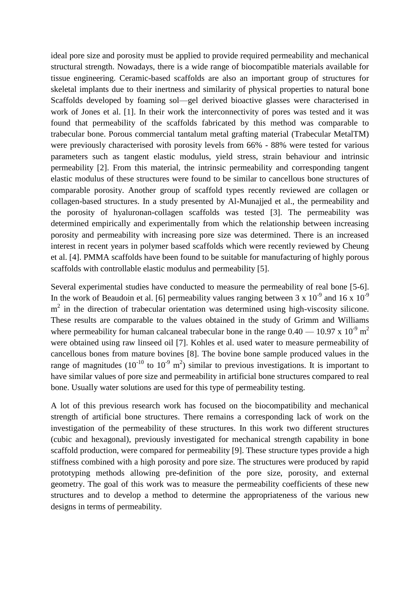ideal pore size and porosity must be applied to provide required permeability and mechanical structural strength. Nowadays, there is a wide range of biocompatible materials available for tissue engineering. Ceramic-based scaffolds are also an important group of structures for skeletal implants due to their inertness and similarity of physical properties to natural bone Scaffolds developed by foaming sol—gel derived bioactive glasses were characterised in work of Jones et al. [1]. In their work the interconnectivity of pores was tested and it was found that permeability of the scaffolds fabricated by this method was comparable to trabecular bone. Porous commercial tantalum metal grafting material (Trabecular MetalTM) were previously characterised with porosity levels from 66% - 88% were tested for various parameters such as tangent elastic modulus, yield stress, strain behaviour and intrinsic permeability [2]. From this material, the intrinsic permeability and corresponding tangent elastic modulus of these structures were found to be similar to cancellous bone structures of comparable porosity. Another group of scaffold types recently reviewed are collagen or collagen-based structures. In a study presented by Al-Munajjed et al., the permeability and the porosity of hyaluronan-collagen scaffolds was tested [3]. The permeability was determined empirically and experimentally from which the relationship between increasing porosity and permeability with increasing pore size was determined. There is an increased interest in recent years in polymer based scaffolds which were recently reviewed by Cheung et al. [4]. PMMA scaffolds have been found to be suitable for manufacturing of highly porous scaffolds with controllable elastic modulus and permeability [5].

Several experimental studies have conducted to measure the permeability of real bone [5-6]. In the work of Beaudoin et al. [6] permeability values ranging between 3 x  $10^{-9}$  and 16 x  $10^{-9}$ m<sup>2</sup> in the direction of trabecular orientation was determined using high-viscosity silicone. These results are comparable to the values obtained in the study of Grimm and Williams where permeability for human calcaneal trabecular bone in the range  $0.40 - 10.97 \times 10^{-9}$  m<sup>2</sup> were obtained using raw linseed oil [7]. Kohles et al. used water to measure permeability of cancellous bones from mature bovines [8]. The bovine bone sample produced values in the range of magnitudes  $(10^{-10}$  to  $10^{-9}$  m<sup>2</sup>) similar to previous investigations. It is important to have similar values of pore size and permeability in artificial bone structures compared to real bone. Usually water solutions are used for this type of permeability testing.

A lot of this previous research work has focused on the biocompatibility and mechanical strength of artificial bone structures. There remains a corresponding lack of work on the investigation of the permeability of these structures. In this work two different structures (cubic and hexagonal), previously investigated for mechanical strength capability in bone scaffold production, were compared for permeability [9]. These structure types provide a high stiffness combined with a high porosity and pore size. The structures were produced by rapid prototyping methods allowing pre-definition of the pore size, porosity, and external geometry. The goal of this work was to measure the permeability coefficients of these new structures and to develop a method to determine the appropriateness of the various new designs in terms of permeability.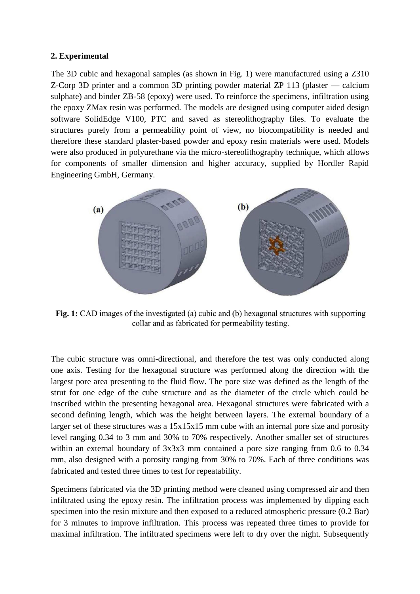## **2. Experimental**

The 3D cubic and hexagonal samples (as shown in Fig. 1) were manufactured using a Z310 Z-Corp 3D printer and a common 3D printing powder material ZP 113 (plaster — calcium sulphate) and binder ZB-58 (epoxy) were used. To reinforce the specimens, infiltration using the epoxy ZMax resin was performed. The models are designed using computer aided design software SolidEdge V100, PTC and saved as stereolithography files. To evaluate the structures purely from a permeability point of view, no biocompatibility is needed and therefore these standard plaster-based powder and epoxy resin materials were used. Models were also produced in polyurethane via the micro-stereolithography technique, which allows for components of smaller dimension and higher accuracy, supplied by Hordler Rapid Engineering GmbH, Germany.



Fig. 1: CAD images of the investigated (a) cubic and (b) hexagonal structures with supporting collar and as fabricated for permeability testing.

The cubic structure was omni-directional, and therefore the test was only conducted along one axis. Testing for the hexagonal structure was performed along the direction with the largest pore area presenting to the fluid flow. The pore size was defined as the length of the strut for one edge of the cube structure and as the diameter of the circle which could be inscribed within the presenting hexagonal area. Hexagonal structures were fabricated with a second defining length, which was the height between layers. The external boundary of a larger set of these structures was a 15x15x15 mm cube with an internal pore size and porosity level ranging 0.34 to 3 mm and 30% to 70% respectively. Another smaller set of structures within an external boundary of  $3x3x3$  mm contained a pore size ranging from 0.6 to 0.34 mm, also designed with a porosity ranging from 30% to 70%. Each of three conditions was fabricated and tested three times to test for repeatability.

Specimens fabricated via the 3D printing method were cleaned using compressed air and then infiltrated using the epoxy resin. The infiltration process was implemented by dipping each specimen into the resin mixture and then exposed to a reduced atmospheric pressure (0.2 Bar) for 3 minutes to improve infiltration. This process was repeated three times to provide for maximal infiltration. The infiltrated specimens were left to dry over the night. Subsequently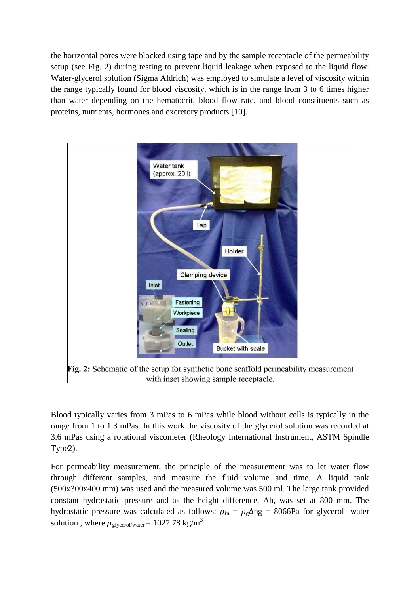the horizontal pores were blocked using tape and by the sample receptacle of the permeability setup (see Fig. 2) during testing to prevent liquid leakage when exposed to the liquid flow. Water-glycerol solution (Sigma Aldrich) was employed to simulate a level of viscosity within the range typically found for blood viscosity, which is in the range from 3 to 6 times higher than water depending on the hematocrit, blood flow rate, and blood constituents such as proteins, nutrients, hormones and excretory products [10].



Fig. 2: Schematic of the setup for synthetic bone scaffold permeability measurement with inset showing sample receptacle.

Blood typically varies from 3 mPas to 6 mPas while blood without cells is typically in the range from 1 to 1.3 mPas. In this work the viscosity of the glycerol solution was recorded at 3.6 mPas using a rotational viscometer (Rheology International Instrument, ASTM Spindle Type2).

For permeability measurement, the principle of the measurement was to let water flow through different samples, and measure the fluid volume and time. A liquid tank (500x300x400 mm) was used and the measured volume was 500 ml. The large tank provided constant hydrostatic pressure and as the height difference, Ah, was set at 800 mm. The hydrostatic pressure was calculated as follows:  $\rho_{in} = \rho_g \Delta hg = 8066Pa$  for glycerol- water solution, where  $\rho_{\text{glycerol/water}} = 1027.78 \text{ kg/m}^3$ .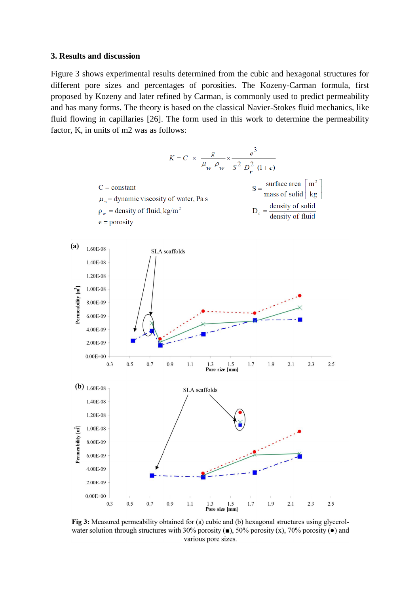#### **3. Results and discussion**

Figure 3 shows experimental results determined from the cubic and hexagonal structures for different pore sizes and percentages of porosities. The Kozeny-Carman formula, first proposed by Kozeny and later refined by Carman, is commonly used to predict permeability and has many forms. The theory is based on the classical Navier-Stokes fluid mechanics, like fluid flowing in capillaries [26]. The form used in this work to determine the permeability factor, K, in units of m2 was as follows:



Fig 3: Measured permeability obtained for (a) cubic and (b) hexagonal structures using glycerolwater solution through structures with 30% porosity ( $\blacksquare$ ), 50% porosity (x), 70% porosity ( $\bullet$ ) and various pore sizes.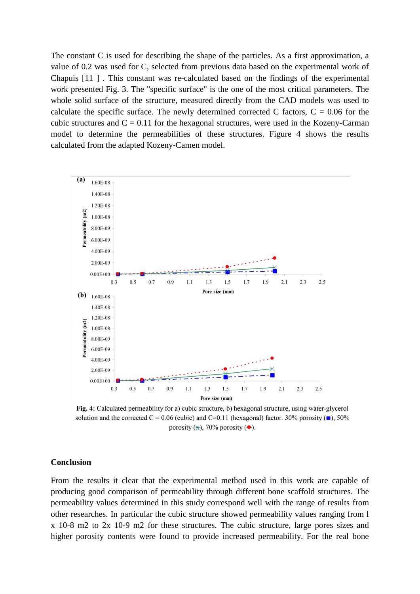The constant C is used for describing the shape of the particles. As a first approximation, a value of 0.2 was used for C, selected from previous data based on the experimental work of Chapuis [11 ] . This constant was re-calculated based on the findings of the experimental work presented Fig. 3. The "specific surface" is the one of the most critical parameters. The whole solid surface of the structure, measured directly from the CAD models was used to calculate the specific surface. The newly determined corrected C factors,  $C = 0.06$  for the cubic structures and  $C = 0.11$  for the hexagonal structures, were used in the Kozeny-Carman model to determine the permeabilities of these structures. Figure 4 shows the results calculated from the adapted Kozeny-Camen model.



Fig. 4: Calculated permeability for a) cubic structure, b) hexagonal structure, using water-glycerol solution and the corrected C = 0.06 (cubic) and C=0.11 (hexagonal) factor. 30% porosity ( $\bullet$ ), 50% porosity  $(\frac{x}{2})$ , 70% porosity  $(\bullet)$ .

#### **Conclusion**

From the results it clear that the experimental method used in this work are capable of producing good comparison of permeability through different bone scaffold structures. The permeability values determined in this study correspond well with the range of results from other researches. In particular the cubic structure showed permeability values ranging from l x 10-8 m2 to 2x 10-9 m2 for these structures. The cubic structure, large pores sizes and higher porosity contents were found to provide increased permeability. For the real bone